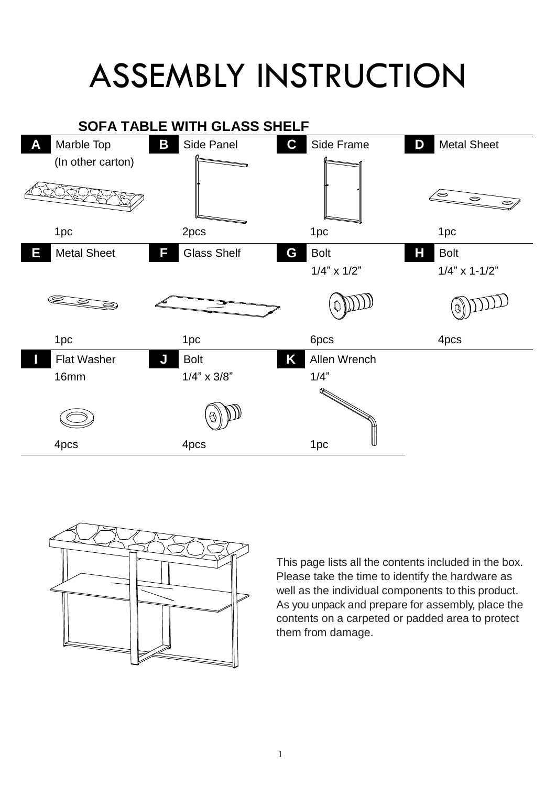## ASSEMBLY INSTRUCTION





This page lists all the contents included in the box. Please take the time to identify the hardware as well as the individual components to this product. As you unpack and prepare for assembly, place the contents on a carpeted or padded area to protect them from damage.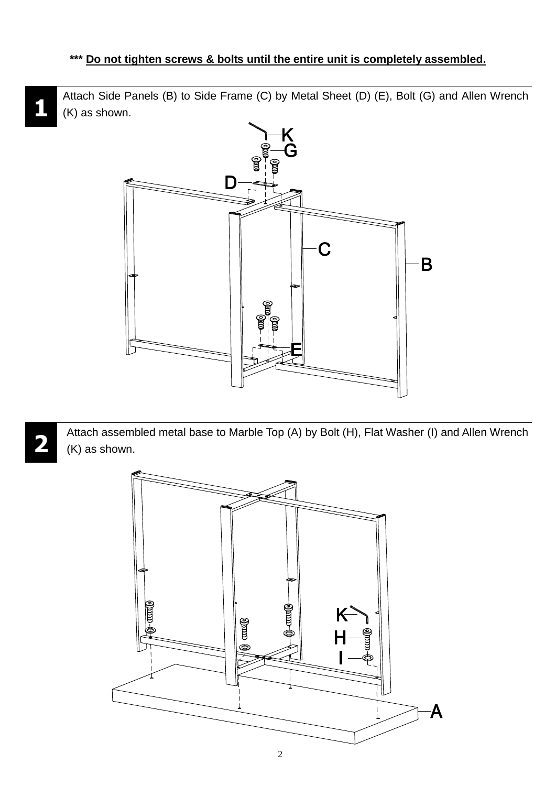Attach Side Panels (B) to Side Frame (C) by Metal Sheet (D) (E), Bolt (G) and Allen Wrench (K) as shown.



Attach assembled metal base to Marble Top (A) by Bolt (H), Flat Washer (I) and Allen Wrench (K) as shown.



**1**

**2**